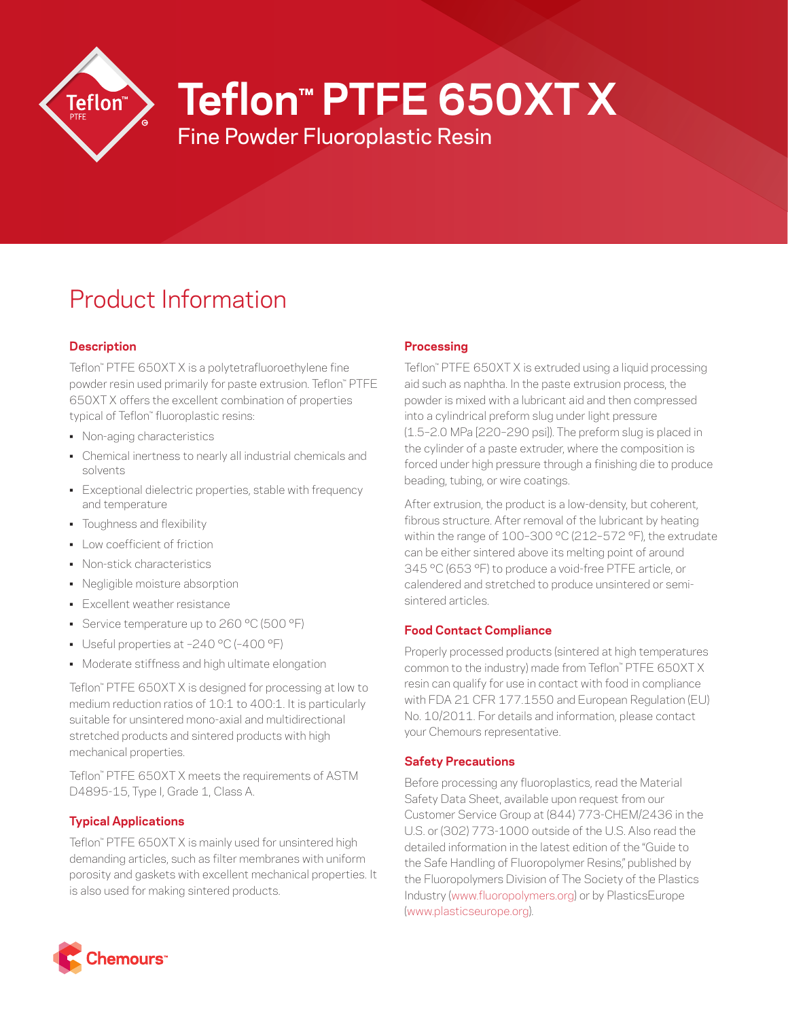

# **Teflon™ PTFE 650XT X**

Fine Powder Fluoroplastic Resin

# Product Information

# **Description**

Teflon™ PTFE 650XT X is a polytetrafluoroethylene fine powder resin used primarily for paste extrusion. Teflon™ PTFE 650XT X offers the excellent combination of properties typical of Teflon™ fluoroplastic resins:

- Non-aging characteristics
- Chemical inertness to nearly all industrial chemicals and solvents
- Exceptional dielectric properties, stable with frequency and temperature
- Toughness and flexibility
- Low coefficient of friction
- Non-stick characteristics
- Negligible moisture absorption
- Excellent weather resistance
- Service temperature up to 260 °C (500 °F)
- Useful properties at –240 °C (–400 °F)
- Moderate stiffness and high ultimate elongation

Teflon™ PTFE 650XT X is designed for processing at low to medium reduction ratios of 10:1 to 400:1. It is particularly suitable for unsintered mono-axial and multidirectional stretched products and sintered products with high mechanical properties.

Teflon™ PTFE 650XT X meets the requirements of ASTM D4895-15, Type I, Grade 1, Class A.

# **Typical Applications**

Teflon™ PTFE 650XT X is mainly used for unsintered high demanding articles, such as filter membranes with uniform porosity and gaskets with excellent mechanical properties. It is also used for making sintered products.

# **Processing**

Teflon™ PTFE 650XT X is extruded using a liquid processing aid such as naphtha. In the paste extrusion process, the powder is mixed with a lubricant aid and then compressed into a cylindrical preform slug under light pressure (1.5–2.0 MPa [220–290 psi]). The preform slug is placed in the cylinder of a paste extruder, where the composition is forced under high pressure through a finishing die to produce beading, tubing, or wire coatings.

After extrusion, the product is a low-density, but coherent, fibrous structure. After removal of the lubricant by heating within the range of 100–300 °C (212–572 °F), the extrudate can be either sintered above its melting point of around 345 °C (653 °F) to produce a void-free PTFE article, or calendered and stretched to produce unsintered or semisintered articles.

# **Food Contact Compliance**

Properly processed products (sintered at high temperatures common to the industry) made from Teflon™ PTFE 650XT X resin can qualify for use in contact with food in compliance with FDA 21 CFR 177.1550 and European Regulation (EU) No. 10/2011. For details and information, please contact your Chemours representative.

# **Safety Precautions**

Before processing any fluoroplastics, read the Material Safety Data Sheet, available upon request from our Customer Service Group at (844) 773-CHEM/2436 in the U.S. or (302) 773-1000 outside of the U.S. Also read the detailed information in the latest edition of the "Guide to the Safe Handling of Fluoropolymer Resins," published by the Fluoropolymers Division of The Society of the Plastics Industry ([www.fluoropolymers.org](http://www.fluoropolymers.org)) or by PlasticsEurope [\(www.plasticseurope.org](http://www.plasticseurope.org)).